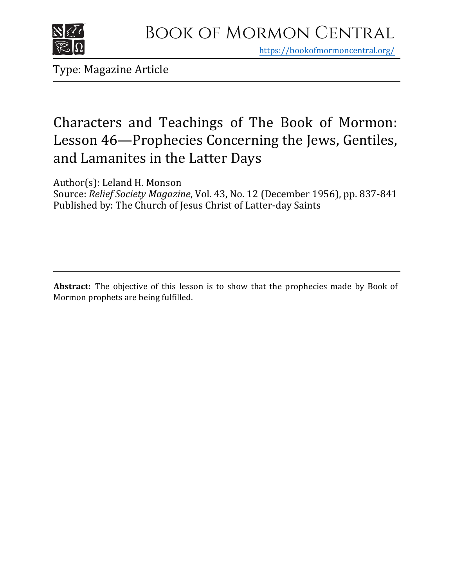

https[://bookofmormoncentral.org/](http://bookofmormoncentral.org/)

Type: Magazine Article

# Characters and Teachings of The Book of Mormon: Lesson 46—Prophecies Concerning the Jews, Gentiles, and Lamanites in the Latter Days

Author(s): Leland H. Monson

Source: *Relief Society Magazine*, Vol. 43, No. 12 (December 1956), pp. 837-841 Published by: The Church of Jesus Christ of Latter-day Saints

**Abstract:** The objective of this lesson is to show that the prophecies made by Book of Mormon prophets are being fulfilled.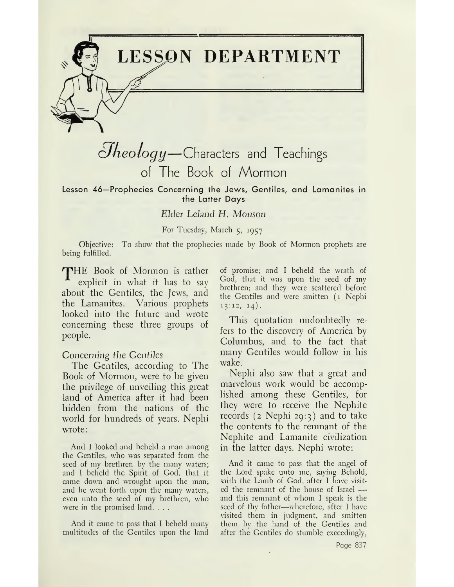**LESSON DEPARTMENT**

# *cJheology—*Characters and Teachings of The Book of Mormon

Lesson 46—Prophecies Concerning the Jews, Gentiles, and Lamanites in the Latter Days

### *Elder Leland H. Monson*

#### For Tuesday, March 5, 1957

Objective: To show that the prophecies made by Book of Mormon prophets are being fulfilled.

THE Book of Mormon is rather explicit in what it has to say about the Gentiles, the Jews, and the Lamanites. Various prophets looked into the future and wrote concerning these three groups of people.

#### *Concerning the Gentiles*

The Gentiles, according to The Book of Mormon, were to be given the privilege of unveiling this great land of America after it had been hidden from the nations of the world for hundreds of years. Nephi wrote:

And I looked and beheld a man among the Gentiles, who was separated from the seed of my brethren by the many waters; and I beheld the Spirit of God, that it came down and wrought upon the man; and he went forth upon the many waters, even unto the seed of my brethren, who were in the promised land. . . .

And it came to pass that I beheld many multitudes of the Gentiles upon the land of promise; and I beheld the wrath of God, that it was upon the seed of my brethren; and they were scattered before the Gentiles and were smitten (1 Nephi  $13:12, 14$ .

This quotation undoubtedly refers to the discovery of America by Columbus, and to the fact that many Gentiles would follow in his wake.

Nephi also saw that a great and marvelous work would be accomplished among these Gentiles, for they were to receive the Nephite records  $(z \nNephi 29:3)$  and to take the contents to the remnant of the Nephite and Lamanite civilization in the latter days. Nephi wrote:

And it came to pass that the angel of the Lord spake unto me, saying Behold, saith the Lamb of God, after I have visited the remnant of the house of Israel and this remnant of whom I speak is the seed of thy father—wherefore, after I have visited them in judgment, and smitten them by the hand of the Gentiles and after the Gentiles do stumble exceedingly,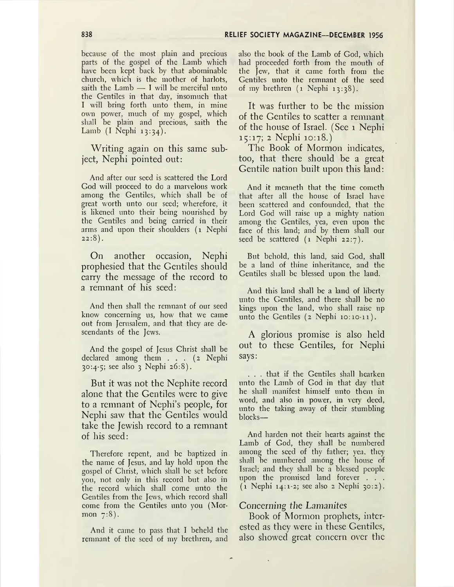because of the most plain and precious parts of the gospel of the Lamb which have been kept back by that abominable church, which is the mother of harlots, saith the Lamb — I will be merciful unto the Gentiles in that day, insomuch that I will bring forth unto them, in mine own power, much of my gospel, which shall be plain and precious, saith the Lamb (I Nephi 13:34).

Writing again on this same subject, Nephi pointed out:

And after our seed is scattered the Lord God will proceed to do a marvelous work among the Gentiles, which shall be of great worth unto our seed; wherefore, it is likened unto their being nourished by the Gentiles and being carried in their arms and upon their shoulders (1 Nephi  $22:8$ ).

On another occasion, Nephi prophesied that the Gentiles should carry the message of the record to a remnant of his seed:

And then shall the remnant of our seed know concerning us, how that we came out from Jerusalem, and that they are descendants of the Jews.

And the gospel of Jesus Christ shall be declared among them ... (2 Nephi 30:4-5; see also <sup>3</sup> Nephi 26:8).

But it was not the Nephite record alone that the Gentiles were to give to a remnant of Nephi'<sup>s</sup> people, for Nephi saw that the Gentiles would take the Jewish record to a remnant of his seed:

Therefore repent, and be baptized in the name of Jesus, and lay hold upon the gospel of Christ, which shall be set before you, not only in this record but also in the record which shall come unto the Gentiles from the Jews, which record shall come from the Gentiles unto you (Mormon 7:8).

And it came to pass that I beheld the remnant of the seed of my brethren, and also the book of the Lamb of God, which had proceeded forth from the mouth of the Jew, that it came forth from the Gentiles unto the remnant of the seed of my brethren (1 Nephi 13:38).

It was further to be the mission of the Gentiles to scatter a remnant of the house of Israel. (See <sup>1</sup> Nephi 15:17; 2 Nephi 10:18.)

The Book of Mormon indicates, too, that there should be a great Gentile nation built upon this land:

And it meaneth that the time cometh that after all the house of Israel have been scattered and confounded, that the Lord God will raise up a mighty nation among the Gentiles, yea, even upon the face of this land; and by them shall our seed be scattered (1 Nephi 22:7).

But behold, this land, said God, shall be a land of thine inheritance, and the Gentiles shall be blessed upon the land.

And this land shall be a land of liberty unto the Gentiles, and there shall be no kings upon the land, who shall raise up unto the Gentiles (2 Nephi 10:10-11).

A glorious promise is also held out to these Gentiles, for Nephi says:

. . . that if the Gentiles shall hearken unto the Lamb of God in that day that he shall manifest himself unto them in word, and also in power, in very deed, unto the taking away of their stumbling blocks—

And harden not their hearts against the Lamb of God, they shall be numbered among the seed of thy father; yea, they shall be numbered among the house of Israel; and they shall be a blessed people upon the promised land forever . . . (1 Nephi 14:1-2; see also <sup>2</sup> Nephi 30:2).

#### Concerning *the Lamanites*

Book of Mormon prophets, interested as they were in these Gentiles, also showed great concern over the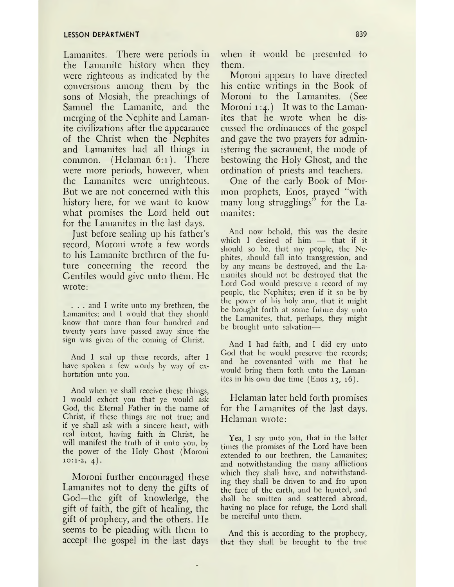Lamanites. There were periods in the Lamanite history when they were righteous as indicated by the conversions among them by the sons of Mosiah, the preachings of Samuel the Lamanite, and the merging of the Nephite and Lamanite civilizations after the appearance of the Christ when the Nephites and Lamanites had all things in common. (Helaman 6:1). There were more periods, however, when the Lamanites were unrighteous. But we are not concerned with this history here, for we want to know what promises the Lord held out for the Lamanites in the last days.

Just before sealing up his father'<sup>s</sup> record, Moroni wrote a few words to his Lamanite brethren of the future concerning the record the Gentiles would give unto them. He wrote:

. . . and I write unto my brethren, the Lamanites; and I would that they should know that more than four hundred and twenty years have passed away since the sign was given of the coming of Christ.

And I seal up these records, after I have spoken a few words by way of exhortation unto you.

And when ye shall receive these things, I would exhort you that ye would ask God, the Eternal Father in the name of Christ, if these things are not true; and if ye shall ask with a sincere heart, with real intent, having faith in Christ, he will manifest the truth of it unto you, by the power of the Holy Ghost (Moroni  $10:1-2, 4).$ 

Moroni further encouraged these Lamanites not to deny the gifts of God—the gift of knowledge, the gift of faith, the gift of healing, the gift of prophecy, and the others. He seems to be pleading with them to accept the gospel in the last days when it would be presented to them.

Moroni appears to have directed his entire writings in the Book of Moroni to the Lamanites. (See Moroni  $1:4.$ ) It was to the Lamanites that he wrote when he discussed the ordinances of the gospel and gave the two prayers for administering the sacrament, the mode of bestowing the Holy Ghost, and the ordination of priests and teachers.

One of the early Book of Mormon prophets, Enos, prayed "with many long strugglings" for the Lamanites:

And now behold, this was the desire which I desired of him — that if it should so be, that my people, the Nephites, should fall into transgression, and by any means be destroyed, and the Lamanites should not be destroyed that the Lord God would preserve a record of my people, the Nephites; even if it so be by the power of his holy arm, that it might be brought forth at some future day unto the Lamanites, that, perhaps, they might be brought unto salvation—

And I had faith, and I did cry unto God that he would preserve the records; and he covenanted with me that he would bring them forth unto the Lamanites in his own due time (Enos 13, 16).

Helaman later held forth promises for the Lamanites of the last days. Helaman wrote:

Yea, I say unto you, that in the latter times the promises of the Lord have been extended to our brethren, the Lamanites; and notwithstanding the many afflictions which they shall have, and notwithstanding they shall be driven to and fro upon the face of the earth, and be hunted, and shall be smitten and scattered abroad, having no place for refuge, the Lord shall be merciful unto them.

And this is according to the prophecy, that they shall be brought to the true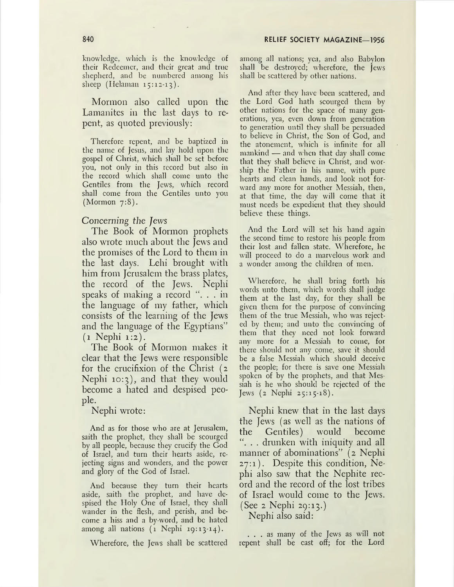knowledge, which is the knowledge of their Redeemer, and their great and true shepherd, and be numbered among his sheep (Helaman 15:12-13).

Mormon also called upon the Lamanites in the last days to repent, as quoted previously:

Therefore repent, and be baptized in the name of Jesus, and lay hold upon the gospel of Christ, which shall be set before you, not only in this record but also in the record which shall come unto the Gentiles from the Jews, which record shall come from the Gentiles unto you (Mormon 7:8).

#### *Concerning the Jews*

The Book of Mormon prophets also wrote much about the Jews and the promises of the Lord to them in the last days. Lehi brought with him from Jerusalem the brass plates, the record of the Jews. Nephi speaks of making a record " $\ldots$  in the language of my father, which consists of the learning of the Jews and the language of the Egyptians" (1 Nephi 1:2).

The Book of Mormon makes it clear that the Jews were responsible for the crucifixion of the Christ (2 Nephi 10:3), and that they would become a hated and despised people.

Nephi wrote:

And as for those who are at Jerusalem, saith the prophet, they shall be scourged by all people, because they crucify the God of Israel, and turn their hearts aside, rejecting signs and wonders, and the power and glory of the God of Israel.

And because they turn their hearts aside, saith the prophet, and have despised the Holy One of Israel, they shall wander in the flesh, and perish, and become a hiss and a by word, and be hated among all nations (1 Nephi 19:13-14).

Wherefore, the Jews shall be scattered

among all nations; yea, and also Babylon shall be destroyed; wherefore, the jews shall be scattered by other nations.

And after they have been scattered, and the Lord God hath scourged them by other nations for the space of many generations, yea, even down from generation to generation until they shall be persuaded to believe in Christ, the Son of God, and the atonement, which is infinite for all mankind — and when that day shall come that they shall believe in Christ, and worship the Father in his name, with pure hearts and clean hands, and look not forward any more for another Messiah, then, at that time, the day will come that it must needs be expedient that they should believe these things.

And the Lord will set his hand again the second time to restore his people from their lost and fallen state. Wherefore, he will proceed to do a marvelous work and a wonder among the children of men.

Wherefore, he shall bring forth his words unto them, which words shall judge them at the last day, for they shall be given them for the purpose of convincing them of the true Messiah, who was rejected by them; and unto the convincing of them that they need not look forward any more for a Messiah to come, for there should not any come, save it should be a false Messiah which should deceive the people; for there is save one Messiah spoken of by the prophets, and that Messiah is he who should be rejected of the Jews (2 Nephi 25:15-18).

Nephi knew that in the last days the Jews (as well as the nations of the Gentiles) would become . . drunken with iniquity and all manner of abominations" (2 Nephi 27:1). Despite this condition, Nephi also saw that the Nephite record and the record of the lost tribes of Israel would come to the Jews. (See 2 Nephi 29:13.)

Nephi also said:

... as many of the Jews as will not repent shall be cast off; for the Lord